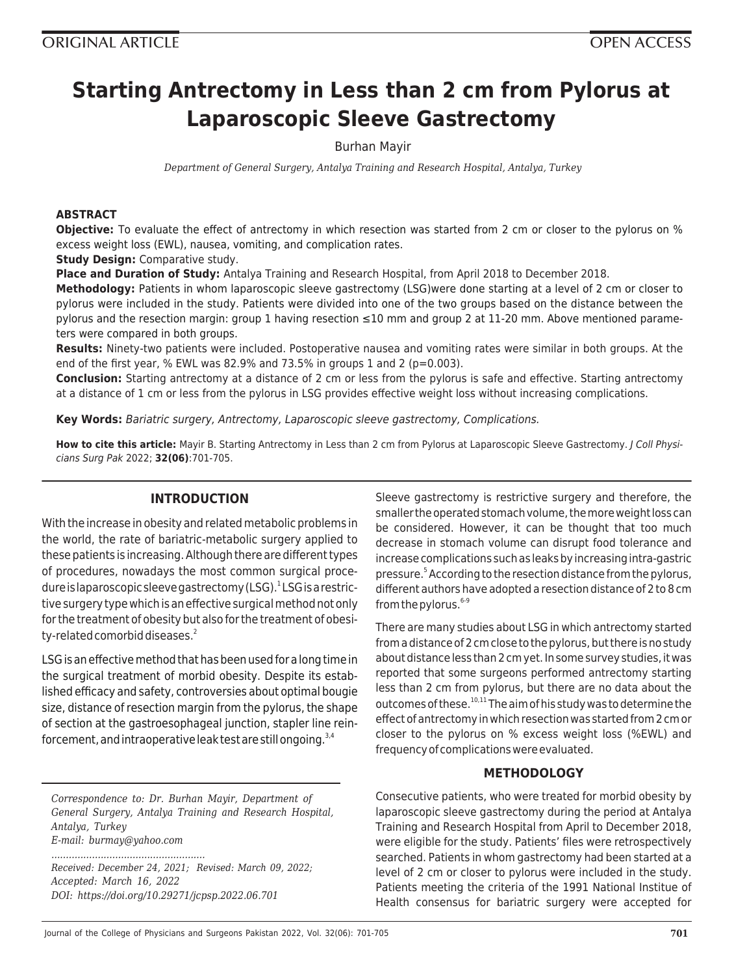# **Starting Antrectomy in Less than 2 cm from Pylorus at Laparoscopic Sleeve Gastrectomy**

# Burhan Mayir

*Department of General Surgery, Antalya Training and Research Hospital, Antalya, Turkey*

## **ABSTRACT**

**Objective:** To evaluate the effect of antrectomy in which resection was started from 2 cm or closer to the pylorus on % excess weight loss (EWL), nausea, vomiting, and complication rates.

**Study Design:** Comparative study.

**Place and Duration of Study:** Antalya Training and Research Hospital, from April 2018 to December 2018.

**Methodology:** Patients in whom laparoscopic sleeve gastrectomy (LSG)were done starting at a level of 2 cm or closer to pylorus were included in the study. Patients were divided into one of the two groups based on the distance between the pylorus and the resection margin: group 1 having resection ≤10 mm and group 2 at 11-20 mm. Above mentioned parameters were compared in both groups.

**Results:** Ninety-two patients were included. Postoperative nausea and vomiting rates were similar in both groups. At the end of the first year, % EWL was 82.9% and 73.5% in groups 1 and 2 ( $p=0.003$ ).

**Conclusion:** Starting antrectomy at a distance of 2 cm or less from the pylorus is safe and effective. Starting antrectomy at a distance of 1 cm or less from the pylorus in LSG provides effective weight loss without increasing complications.

**Key Words:** Bariatric surgery, Antrectomy, Laparoscopic sleeve gastrectomy, Complications.

**How to cite this article:** Mayir B. Starting Antrectomy in Less than 2 cm from Pylorus at Laparoscopic Sleeve Gastrectomy. J Coll Physicians Surg Pak 2022; **32(06)**:701-705.

# **INTRODUCTION**

With the increase in obesity and related metabolic problems in the world, the rate of bariatric-metabolic surgery applied to these patients is increasing. Although there are different types of procedures, nowadays the most common surgical procedure is laparoscopic sleeve gastrectomy (LSG). <sup>1</sup> LSG is a restrictive surgery type which is an effective surgical method not only for the treatment of obesity but also for the treatment of obesity-related comorbid diseases.<sup>2</sup>

LSG is an effective method that has been used for a long time in the surgical treatment of morbid obesity. Despite its established efficacy and safety, controversies about optimal bougie size, distance of resection margin from the pylorus, the shape of section at the gastroesophageal junction, stapler line reinforcement, and intraoperative leak test are still ongoing. $3,4$ 

*Correspondence to: Dr. Burhan Mayir, Department of General Surgery, Antalya Training and Research Hospital, Antalya, Turkey E-mail: burmay@yahoo.com*

*Received: December 24, 2021; Revised: March 09, 2022; Accepted: March 16, 2022 DOI: https://doi.org/10.29271/jcpsp.2022.06.701*

*.....................................................*

Sleeve gastrectomy is restrictive surgery and therefore, the smaller the operated stomach volume, the more weight loss can be considered. However, it can be thought that too much decrease in stomach volume can disrupt food tolerance and increase complications such as leaks by increasing intra-gastric pressure.<sup>5</sup> According to the resection distance from the pylorus, different authors have adopted a resection distance of 2 to 8 cm from the pylorus. $6-9$ 

There are many studies about LSG in which antrectomy started from a distance of 2 cm close to the pylorus, but there is no study about distance less than 2 cm yet. In some survey studies, it was reported that some surgeons performed antrectomy starting less than 2 cm from pylorus, but there are no data about the outcomes of these.<sup>10,11</sup> The aim of his study was to determine the effect of antrectomy in which resection was started from 2 cm or closer to the pylorus on % excess weight loss (%EWL) and frequency of complications were evaluated.

# **METHODOLOGY**

Consecutive patients, who were treated for morbid obesity by laparoscopic sleeve gastrectomy during the period at Antalya Training and Research Hospital from April to December 2018, were eligible for the study. Patients' files were retrospectively searched. Patients in whom gastrectomy had been started at a level of 2 cm or closer to pylorus were included in the study. Patients meeting the criteria of the 1991 National Institue of Health consensus for bariatric surgery were accepted for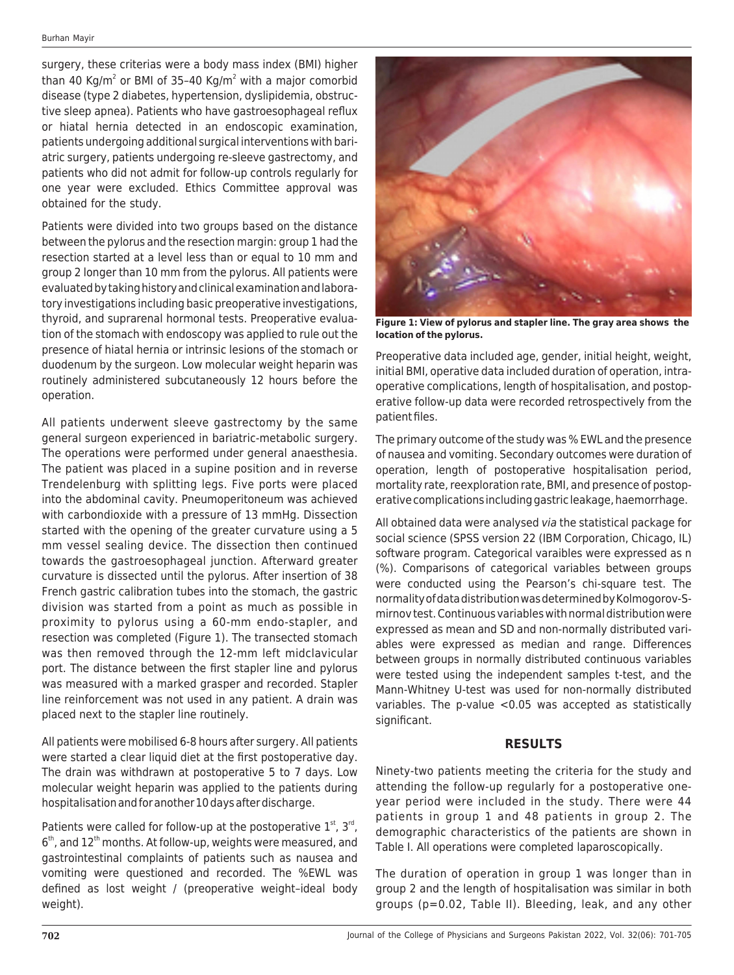surgery, these criterias were a body mass index (BMI) higher than 40 Kg/m<sup>2</sup> or BMI of 35–40 Kg/m<sup>2</sup> with a major comorbid disease (type 2 diabetes, hypertension, dyslipidemia, obstructive sleep apnea). Patients who have gastroesophageal reflux or hiatal hernia detected in an endoscopic examination, patients undergoing additional surgical interventions with bariatric surgery, patients undergoing re-sleeve gastrectomy, and patients who did not admit for follow-up controls regularly for one year were excluded. Ethics Committee approval was obtained for the study.

Patients were divided into two groups based on the distance between the pylorus and the resection margin: group 1 had the resection started at a level less than or equal to 10 mm and group 2 longer than 10 mm from the pylorus. All patients were evaluated by taking history and clinical examination and laboratory investigations including basic preoperative investigations, thyroid, and suprarenal hormonal tests. Preoperative evaluation of the stomach with endoscopy was applied to rule out the presence of hiatal hernia or intrinsic lesions of the stomach or duodenum by the surgeon. Low molecular weight heparin was routinely administered subcutaneously 12 hours before the operation.

All patients underwent sleeve gastrectomy by the same general surgeon experienced in bariatric-metabolic surgery. The operations were performed under general anaesthesia. The patient was placed in a supine position and in reverse Trendelenburg with splitting legs. Five ports were placed into the abdominal cavity. Pneumoperitoneum was achieved with carbondioxide with a pressure of 13 mmHg. Dissection started with the opening of the greater curvature using a 5 mm vessel sealing device. The dissection then continued towards the gastroesophageal junction. Afterward greater curvature is dissected until the pylorus. After insertion of 38 French gastric calibration tubes into the stomach, the gastric division was started from a point as much as possible in proximity to pylorus using a 60-mm endo-stapler, and resection was completed (Figure 1). The transected stomach was then removed through the 12-mm left midclavicular port. The distance between the first stapler line and pylorus was measured with a marked grasper and recorded. Stapler line reinforcement was not used in any patient. A drain was placed next to the stapler line routinely.

All patients were mobilised 6-8 hours after surgery. All patients were started a clear liquid diet at the first postoperative day. The drain was withdrawn at postoperative 5 to 7 days. Low molecular weight heparin was applied to the patients during hospitalisation and for another 10 days after discharge.

Patients were called for follow-up at the postoperative  $1<sup>st</sup>$ ,  $3<sup>rd</sup>$ ,  $6<sup>th</sup>$ , and  $12<sup>th</sup>$  months. At follow-up, weights were measured, and gastrointestinal complaints of patients such as nausea and vomiting were questioned and recorded. The %EWL was defined as lost weight / (preoperative weight–ideal body weight).



**Figure 1: View of pylorus and stapler line. The gray area shows the location of the pylorus.**

Preoperative data included age, gender, initial height, weight, initial BMI, operative data included duration of operation, intraoperative complications, length of hospitalisation, and postoperative follow-up data were recorded retrospectively from the patient files.

The primary outcome of the study was % EWL and the presence of nausea and vomiting. Secondary outcomes were duration of operation, length of postoperative hospitalisation period, mortality rate, reexploration rate, BMI, and presence of postoperative complications including gastric leakage, haemorrhage.

All obtained data were analysed via the statistical package for social science (SPSS version 22 (IBM Corporation, Chicago, IL) software program. Categorical varaibles were expressed as n (%). Comparisons of categorical variables between groups were conducted using the Pearson's chi-square test. The normality of data distribution was determined by Kolmogorov-Smirnov test. Continuous variables with normal distribution were expressed as mean and SD and non-normally distributed variables were expressed as median and range. Differences between groups in normally distributed continuous variables were tested using the independent samples t-test, and the Mann-Whitney U-test was used for non-normally distributed variables. The p-value <0.05 was accepted as statistically significant.

# **RESULTS**

Ninety-two patients meeting the criteria for the study and attending the follow-up regularly for a postoperative oneyear period were included in the study. There were 44 patients in group 1 and 48 patients in group 2. The demographic characteristics of the patients are shown in Table I. All operations were completed laparoscopically.

The duration of operation in group 1 was longer than in group 2 and the length of hospitalisation was similar in both groups (p=0.02, Table II). Bleeding, leak, and any other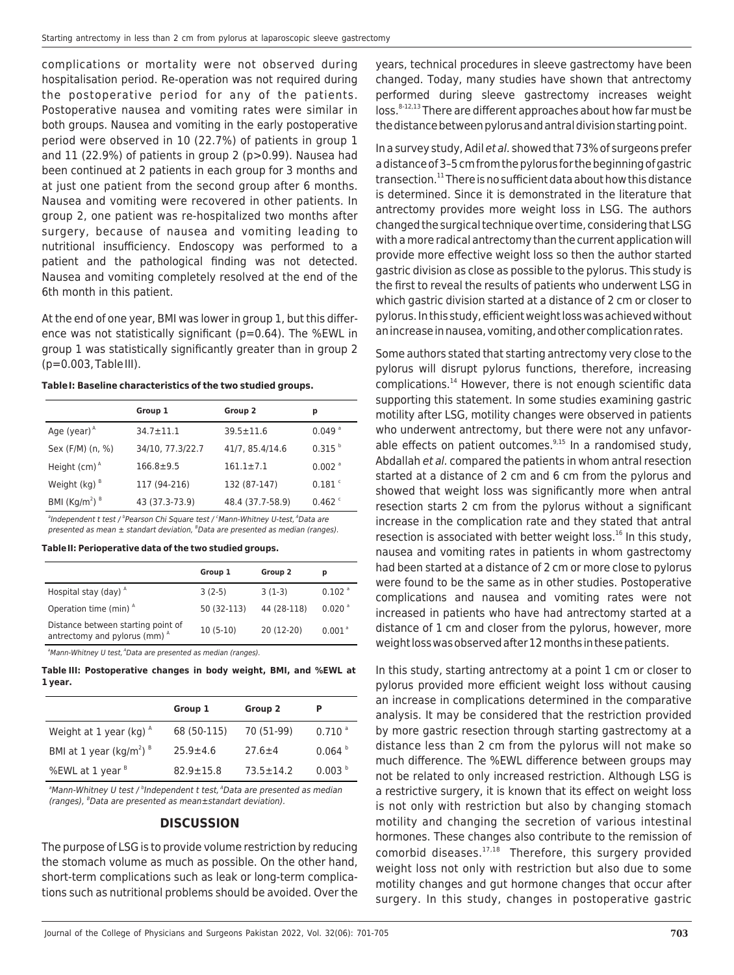complications or mortality were not observed during hospitalisation period. Re-operation was not required during the postoperative period for any of the patients. Postoperative nausea and vomiting rates were similar in both groups. Nausea and vomiting in the early postoperative period were observed in 10 (22.7%) of patients in group 1 and 11 (22.9%) of patients in group 2 (p>0.99). Nausea had been continued at 2 patients in each group for 3 months and at just one patient from the second group after 6 months. Nausea and vomiting were recovered in other patients. In group 2, one patient was re-hospitalized two months after surgery, because of nausea and vomiting leading to nutritional insufficiency. Endoscopy was performed to a patient and the pathological finding was not detected. Nausea and vomiting completely resolved at the end of the 6th month in this patient.

At the end of one year, BMI was lower in group 1, but this difference was not statistically significant (p=0.64). The %EWL in group 1 was statistically significantly greater than in group 2 (p=0.003, Table III).

**Table I: Baseline characteristics of the two studied groups.**

|                                       | Group 1          | Group 2          | р                    |
|---------------------------------------|------------------|------------------|----------------------|
| Age (year) $^A$                       | $34.7 \pm 11.1$  | $39.5 \pm 11.6$  | $0.049$ <sup>a</sup> |
| Sex (F/M) (n, %)                      | 34/10, 77.3/22.7 | 41/7, 85.4/14.6  | $0.315$ <sup>b</sup> |
| Height $(cm)^A$                       | $166.8 \pm 9.5$  | $161.1 \pm 7.1$  | $0.002$ <sup>a</sup> |
| Weight $(kq)^{B}$                     | 117 (94-216)     | 132 (87-147)     | $0.181$ <sup>c</sup> |
| BMI (Kg/m <sup>2</sup> ) <sup>B</sup> | 43 (37.3-73.9)   | 48.4 (37.7-58.9) | $0.462$ $\degree$    |

<sup>a</sup>Independent t test / <sup>b</sup>Pearson Chi Square test / ʿMann-Whitney U-test, <sup>A</sup>Data are presented as mean  $\pm$  standart deviation, <sup>8</sup>Data are presented as median (ranges).

#### **Table II: Perioperative data of the two studied groups.**

|                                                                     | Group 1     | Group 2     | р                    |
|---------------------------------------------------------------------|-------------|-------------|----------------------|
| Hospital stay (day) <sup>A</sup>                                    | $3(2-5)$    | $3(1-3)$    | $0.102$ <sup>a</sup> |
| Operation time (min) <sup>A</sup>                                   | 50 (32-113) | 44 (28-118) | $0.020$ <sup>a</sup> |
| Distance between starting point of<br>antrectomy and pylorus (mm) A | $10(5-10)$  | 20 (12-20)  | $0.001$ <sup>a</sup> |

<sup>a</sup>Mann-Whitney U test, <sup>A</sup>Data are presented as median (ranges).

**Table III: Postoperative changes in body weight, BMI, and %EWL at 1 year.**

|                                                 | Group 1         | Group 2       | P                    |
|-------------------------------------------------|-----------------|---------------|----------------------|
| Weight at 1 year (kg) $^A$                      | 68 (50-115)     | 70 (51-99)    | $0.710$ <sup>a</sup> |
| BMI at 1 year (kg/m <sup>2</sup> ) <sup>8</sup> | $25.9 + 4.6$    | $27.6 + 4$    | 0.064                |
| %EWL at 1 year <sup>8</sup>                     | $82.9 \pm 15.8$ | $73.5 + 14.2$ | 0.003 <sup>b</sup>   |

 $^{\circ}$ Mann-Whitney U test /  $^{\circ}$ Independent t test,  $^{\circ}$ Data are presented as median (ranges), <sup>B</sup>Data are presented as mean±standart deviation).

#### **DISCUSSION**

The purpose of LSG is to provide volume restriction by reducing the stomach volume as much as possible. On the other hand, short-term complications such as leak or long-term complications such as nutritional problems should be avoided. Over the

years, technical procedures in sleeve gastrectomy have been changed. Today, many studies have shown that antrectomy performed during sleeve gastrectomy increases weight  $\cos s^{3-12,13}$  There are different approaches about how far must be the distance between pylorus and antral division starting point.

In a survey study, Adil et al. showed that 73% of surgeons prefer a distance of 3–5 cm from the pylorus for the beginning of gastric transection. $^{11}$  There is no sufficient data about how this distance is determined. Since it is demonstrated in the literature that antrectomy provides more weight loss in LSG. The authors changed the surgical technique over time, considering that LSG with a more radical antrectomy than the current application will provide more effective weight loss so then the author started gastric division as close as possible to the pylorus. This study is the first to reveal the results of patients who underwent LSG in which gastric division started at a distance of 2 cm or closer to pylorus. In this study, efficient weight loss was achieved without an increase in nausea, vomiting, and other complication rates.

Some authors stated that starting antrectomy very close to the pylorus will disrupt pylorus functions, therefore, increasing complications.<sup>14</sup> However, there is not enough scientific data supporting this statement. In some studies examining gastric motility after LSG, motility changes were observed in patients who underwent antrectomy, but there were not any unfavorable effects on patient outcomes. $9,15$  In a randomised study, Abdallah et al. compared the patients in whom antral resection started at a distance of 2 cm and 6 cm from the pylorus and showed that weight loss was significantly more when antral resection starts 2 cm from the pylorus without a significant increase in the complication rate and they stated that antral resection is associated with better weight loss. $^{16}$  In this study, nausea and vomiting rates in patients in whom gastrectomy had been started at a distance of 2 cm or more close to pylorus were found to be the same as in other studies. Postoperative complications and nausea and vomiting rates were not increased in patients who have had antrectomy started at a distance of 1 cm and closer from the pylorus, however, more weight loss was observed after 12 months in these patients.

In this study, starting antrectomy at a point 1 cm or closer to pylorus provided more efficient weight loss without causing an increase in complications determined in the comparative analysis. It may be considered that the restriction provided by more gastric resection through starting gastrectomy at a distance less than 2 cm from the pylorus will not make so much difference. The %EWL difference between groups may not be related to only increased restriction. Although LSG is a restrictive surgery, it is known that its effect on weight loss is not only with restriction but also by changing stomach motility and changing the secretion of various intestinal hormones. These changes also contribute to the remission of comorbid diseases. $17,18$  Therefore, this surgery provided weight loss not only with restriction but also due to some motility changes and gut hormone changes that occur after surgery. In this study, changes in postoperative gastric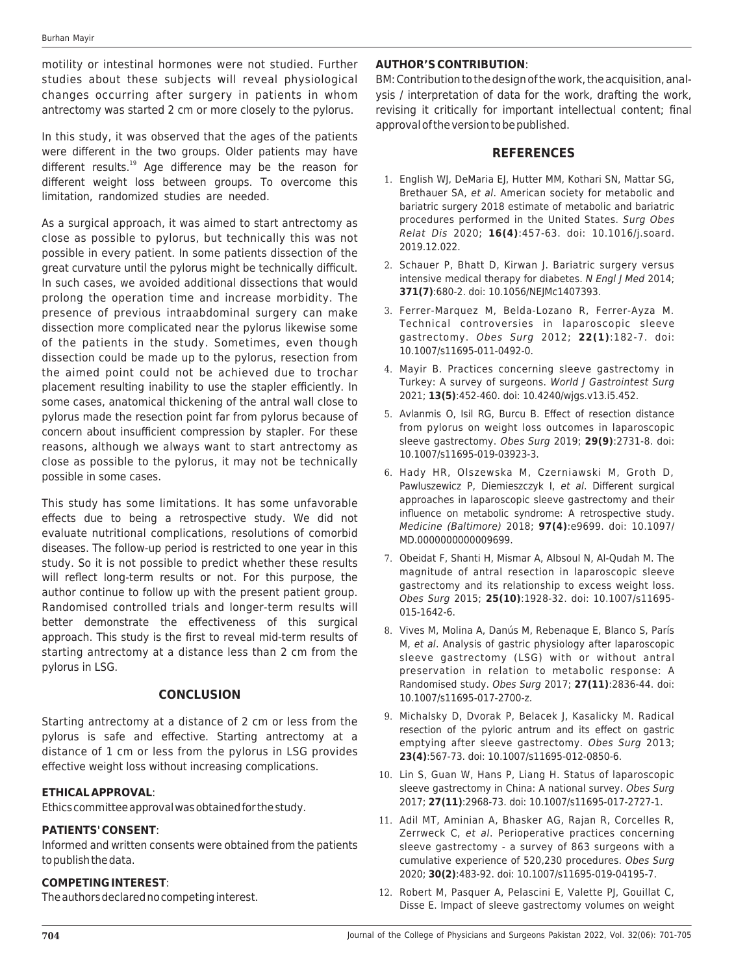motility or intestinal hormones were not studied. Further studies about these subjects will reveal physiological changes occurring after surgery in patients in whom antrectomy was started 2 cm or more closely to the pylorus.

In this study, it was observed that the ages of the patients were different in the two groups. Older patients may have different results.<sup>19</sup> Age difference may be the reason for different weight loss between groups. To overcome this limitation, randomized studies are needed.

As a surgical approach, it was aimed to start antrectomy as close as possible to pylorus, but technically this was not possible in every patient. In some patients dissection of the great curvature until the pylorus might be technically difficult. In such cases, we avoided additional dissections that would prolong the operation time and increase morbidity. The presence of previous intraabdominal surgery can make dissection more complicated near the pylorus likewise some of the patients in the study. Sometimes, even though dissection could be made up to the pylorus, resection from the aimed point could not be achieved due to trochar placement resulting inability to use the stapler efficiently. In some cases, anatomical thickening of the antral wall close to pylorus made the resection point far from pylorus because of concern about insufficient compression by stapler. For these reasons, although we always want to start antrectomy as close as possible to the pylorus, it may not be technically possible in some cases.

This study has some limitations. It has some unfavorable effects due to being a retrospective study. We did not evaluate nutritional complications, resolutions of comorbid diseases. The follow-up period is restricted to one year in this study. So it is not possible to predict whether these results will reflect long-term results or not. For this purpose, the author continue to follow up with the present patient group. Randomised controlled trials and longer-term results will better demonstrate the effectiveness of this surgical approach. This study is the first to reveal mid-term results of starting antrectomy at a distance less than 2 cm from the pylorus in LSG.

## **CONCLUSION**

Starting antrectomy at a distance of 2 cm or less from the pylorus is safe and effective. Starting antrectomy at a distance of 1 cm or less from the pylorus in LSG provides effective weight loss without increasing complications.

## **ETHICAL APPROVAL**:

Ethics committee approval was obtained for the study.

## **PATIENTS' CONSENT**:

Informed and written consents were obtained from the patients to publish the data.

## **COMPETING INTEREST**:

The authors declared no competing interest.

## **AUTHOR'S CONTRIBUTION**:

BM: Contribution to the design of the work, the acquisition, analysis / interpretation of data for the work, drafting the work, revising it critically for important intellectual content; final approval of the version to be published.

## **REFERENCES**

- 1. English WJ, DeMaria EJ, Hutter MM, Kothari SN, Mattar SG, Brethauer SA, et al. American society for metabolic and bariatric surgery 2018 estimate of metabolic and bariatric procedures performed in the United States. Surg Obes Relat Dis 2020; **16(4)**:457-63. doi: 10.1016/j.soard. 2019.12.022.
- 2. Schauer P, Bhatt D, Kirwan J. Bariatric surgery versus intensive medical therapy for diabetes. N Engl J Med 2014; **371(7)**:680-2. doi: 10.1056/NEJMc1407393.
- 3. Ferrer-Marquez M, Belda-Lozano R, Ferrer-Ayza M. Technical controversies in laparoscopic sleeve gastrectomy. Obes Surg 2012; **22(1)**:182-7. doi: 10.1007/s11695-011-0492-0.
- 4. Mayir B. Practices concerning sleeve gastrectomy in Turkey: A survey of surgeons. World J Gastrointest Surg 2021; **13(5)**:452-460. doi: 10.4240/wjgs.v13.i5.452.
- 5. Avlanmis O, Isil RG, Burcu B. Effect of resection distance from pylorus on weight loss outcomes in laparoscopic sleeve gastrectomy. Obes Surg 2019; **29(9)**:2731-8. doi: 10.1007/s11695-019-03923-3.
- 6. Hady HR, Olszewska M, Czerniawski M, Groth D, Pawluszewicz P, Diemieszczyk I, et al. Different surgical approaches in laparoscopic sleeve gastrectomy and their influence on metabolic syndrome: A retrospective study. Medicine (Baltimore) 2018; **97(4)**:e9699. doi: 10.1097/ MD.0000000000009699.
- 7. Obeidat F, Shanti H, Mismar A, Albsoul N, Al-Qudah M. The magnitude of antral resection in laparoscopic sleeve gastrectomy and its relationship to excess weight loss. Obes Surg 2015; **25(10)**:1928-32. doi: 10.1007/s11695- 015-1642-6.
- 8. Vives M, Molina A, Danús M, Rebenaque E, Blanco S, París M, et al. Analysis of gastric physiology after laparoscopic sleeve gastrectomy (LSG) with or without antral preservation in relation to metabolic response: A Randomised study. Obes Surg 2017; **27(11)**:2836-44. doi: 10.1007/s11695-017-2700-z.
- 9. Michalsky D, Dvorak P, Belacek J, Kasalicky M. Radical resection of the pyloric antrum and its effect on gastric emptying after sleeve gastrectomy. Obes Surg 2013; **23(4)**:567-73. doi: 10.1007/s11695-012-0850-6.
- 10. Lin S, Guan W, Hans P, Liang H. Status of laparoscopic sleeve gastrectomy in China: A national survey. Obes Surg 2017; **27(11)**:2968-73. doi: 10.1007/s11695-017-2727-1.
- 11. Adil MT, Aminian A, Bhasker AG, Rajan R, Corcelles R, Zerrweck C, et al. Perioperative practices concerning sleeve gastrectomy - a survey of 863 surgeons with a cumulative experience of 520,230 procedures. Obes Surg 2020; **30(2)**:483-92. doi: 10.1007/s11695-019-04195-7.
- 12. Robert M, Pasquer A, Pelascini E, Valette PJ, Gouillat C, Disse E. Impact of sleeve gastrectomy volumes on weight